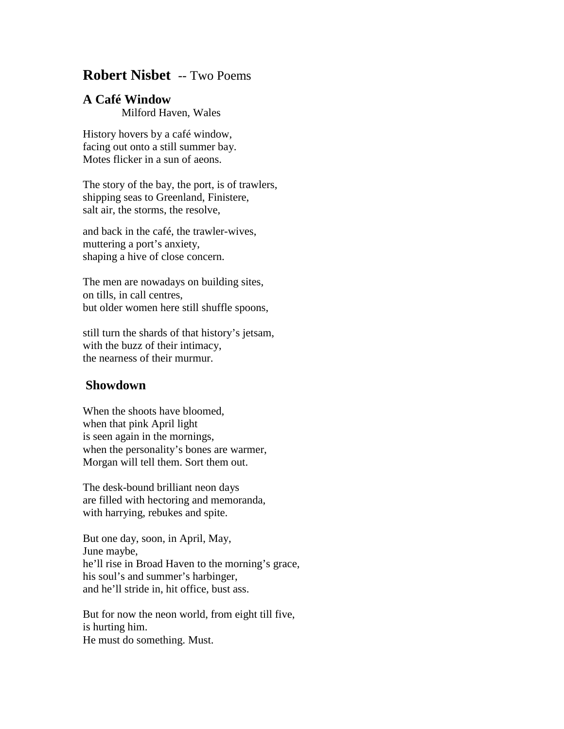## **Robert Nisbet** -- Two Poems

## **A Café Window**

Milford Haven, Wales

History hovers by a café window, facing out onto a still summer bay. Motes flicker in a sun of aeons.

The story of the bay, the port, is of trawlers, shipping seas to Greenland, Finistere, salt air, the storms, the resolve,

and back in the café, the trawler-wives, muttering a port's anxiety, shaping a hive of close concern.

The men are nowadays on building sites, on tills, in call centres, but older women here still shuffle spoons,

still turn the shards of that history's jetsam, with the buzz of their intimacy, the nearness of their murmur.

## **Showdown**

When the shoots have bloomed, when that pink April light is seen again in the mornings, when the personality's bones are warmer, Morgan will tell them. Sort them out.

The desk-bound brilliant neon days are filled with hectoring and memoranda, with harrying, rebukes and spite.

But one day, soon, in April, May, June maybe, he'll rise in Broad Haven to the morning's grace, his soul's and summer's harbinger, and he'll stride in, hit office, bust ass.

But for now the neon world, from eight till five, is hurting him. He must do something. Must.